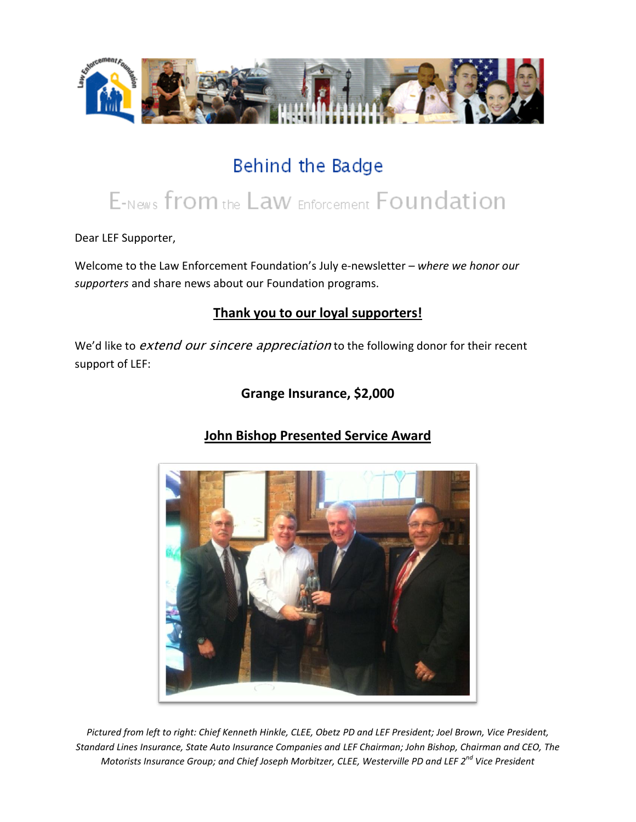

## Behind the Badge

# E-News from the Law Enforcement Foundation

Dear LEF Supporter,

Welcome to the Law Enforcement Foundation's July e-newsletter *– where we honor our supporters* and share news about our Foundation programs.

## **Thank you to our loyal supporters!**

We'd like to extend our sincere appreciation to the following donor for their recent support of LEF:

## **Grange Insurance, \$2,000**



## **John Bishop Presented Service Award**

*Pictured from left to right: Chief Kenneth Hinkle, CLEE, Obetz PD and LEF President; Joel Brown, Vice President, Standard Lines Insurance, State Auto Insurance Companies and LEF Chairman; John Bishop, Chairman and CEO, The Motorists Insurance Group; and Chief Joseph Morbitzer, CLEE, Westerville PD and LEF 2nd Vice President*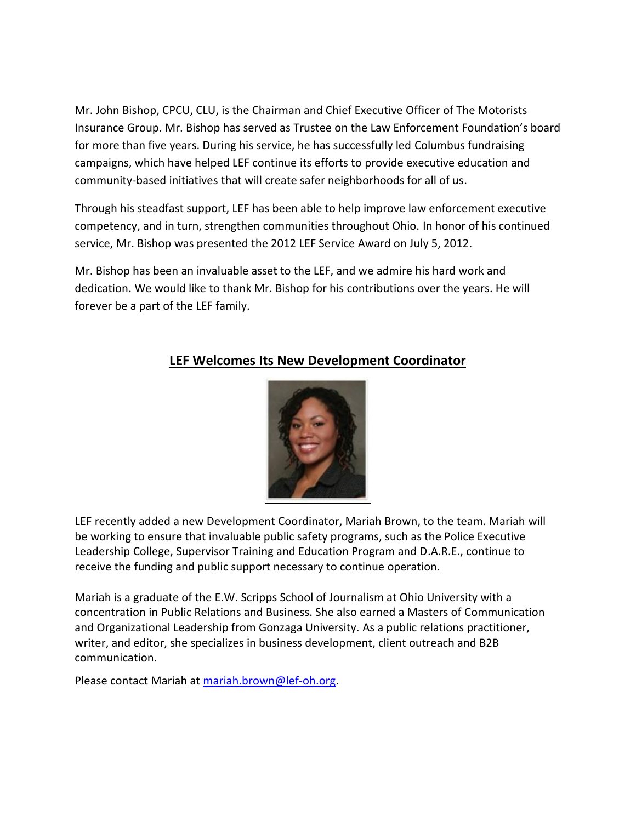Mr. John Bishop, CPCU, CLU, is the Chairman and Chief Executive Officer of The Motorists Insurance Group. Mr. Bishop has served as Trustee on the Law Enforcement Foundation's board for more than five years. During his service, he has successfully led Columbus fundraising campaigns, which have helped LEF continue its efforts to provide executive education and community-based initiatives that will create safer neighborhoods for all of us.

Through his steadfast support, LEF has been able to help improve law enforcement executive competency, and in turn, strengthen communities throughout Ohio. In honor of his continued service, Mr. Bishop was presented the 2012 LEF Service Award on July 5, 2012.

Mr. Bishop has been an invaluable asset to the LEF, and we admire his hard work and dedication. We would like to thank Mr. Bishop for his contributions over the years. He will forever be a part of the LEF family.



## **LEF Welcomes Its New Development Coordinator**

LEF recently added a new Development Coordinator, Mariah Brown, to the team. Mariah will be working to ensure that invaluable public safety programs, such as the Police Executive Leadership College, Supervisor Training and Education Program and D.A.R.E., continue to receive the funding and public support necessary to continue operation.

Mariah is a graduate of the E.W. Scripps School of Journalism at Ohio University with a concentration in Public Relations and Business. She also earned a Masters of Communication and Organizational Leadership from Gonzaga University. As a public relations practitioner, writer, and editor, she specializes in business development, client outreach and B2B communication.

Please contact Mariah at [mariah.brown@lef-oh.org.](mailto:mariah.brown@lef-oh.org)